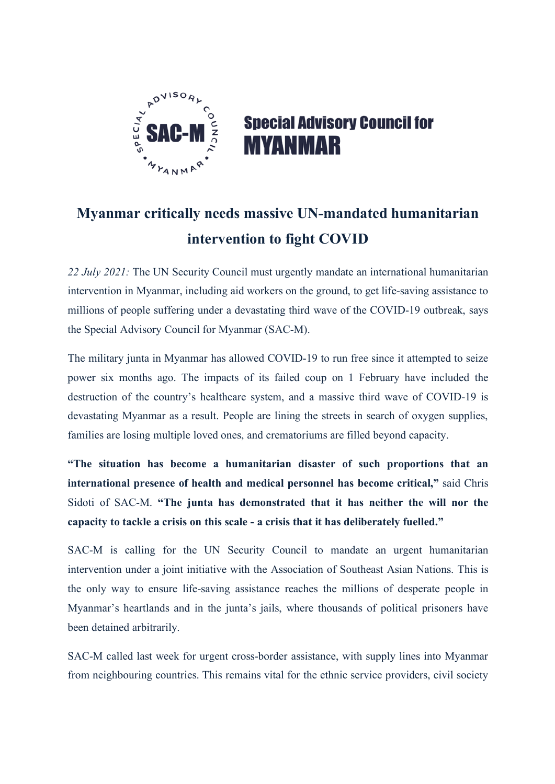

## **Special Advisory Council for MYANMAR**

## **Myanmar critically needs massive UN-mandated humanitarian intervention to fight COVID**

*22 July 2021:* The UN Security Council must urgently mandate an international humanitarian intervention in Myanmar, including aid workers on the ground, to get life-saving assistance to millions of people suffering under a devastating third wave of the COVID-19 outbreak, says the Special Advisory Council for Myanmar (SAC-M).

The military junta in Myanmar has allowed COVID-19 to run free since it attempted to seize power six months ago. The impacts of its failed coup on 1 February have included the destruction of the country's healthcare system, and a massive third wave of COVID-19 is devastating Myanmar as a result. People are lining the streets in search of oxygen supplies, families are losing multiple loved ones, and crematoriums are filled beyond capacity.

**"The situation has become a humanitarian disaster of such proportions that an international presence of health and medical personnel has become critical,"** said Chris Sidoti of SAC-M. **"The junta has demonstrated that it has neither the will nor the capacity to tackle a crisis on this scale - a crisis that it has deliberately fuelled."**

SAC-M is calling for the UN Security Council to mandate an urgent humanitarian intervention under a joint initiative with the Association of Southeast Asian Nations. This is the only way to ensure life-saving assistance reaches the millions of desperate people in Myanmar's heartlands and in the junta's jails, where thousands of political prisoners have been detained arbitrarily.

SAC-M called last week for urgent cross-border assistance, with supply lines into Myanmar from neighbouring countries. This remains vital for the ethnic service providers, civil society